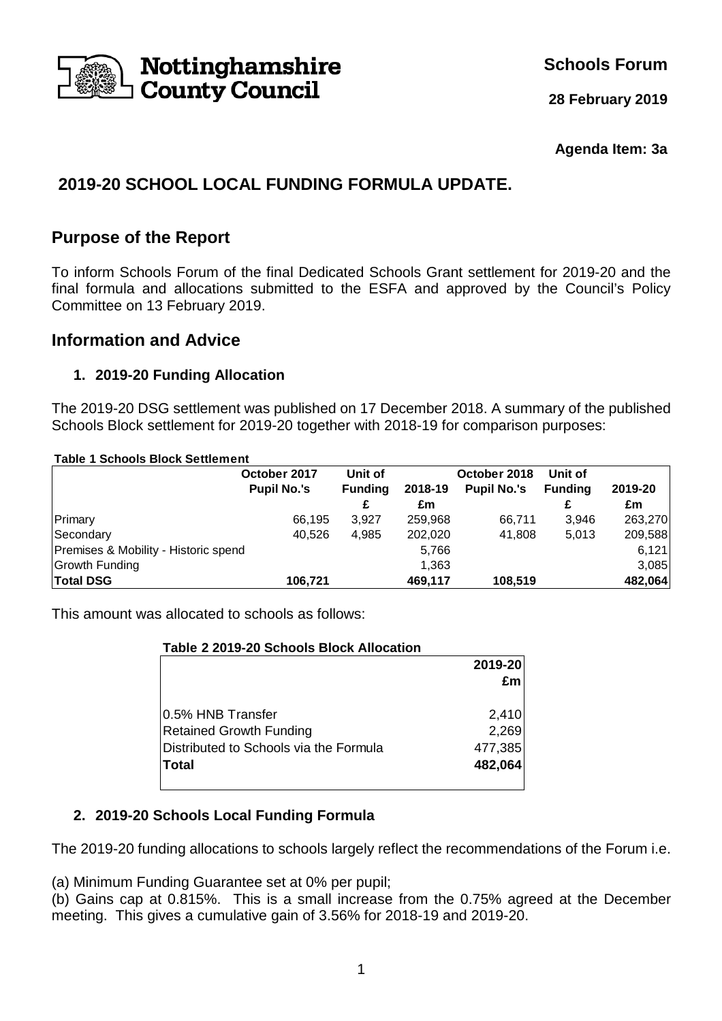

**Schools Forum**

**28 February 2019**

#### **Agenda Item: 3a**

# **2019-20 SCHOOL LOCAL FUNDING FORMULA UPDATE.**

## **Purpose of the Report**

To inform Schools Forum of the final Dedicated Schools Grant settlement for 2019-20 and the final formula and allocations submitted to the ESFA and approved by the Council's Policy Committee on 13 February 2019.

### **Information and Advice**

#### **1. 2019-20 Funding Allocation**

The 2019-20 DSG settlement was published on 17 December 2018. A summary of the published Schools Block settlement for 2019-20 together with 2018-19 for comparison purposes:

**Table 1 Schools Block Settlement**

|                                      | October 2017       | Unit of        |         | October 2018       |                |         |
|--------------------------------------|--------------------|----------------|---------|--------------------|----------------|---------|
|                                      | <b>Pupil No.'s</b> | <b>Funding</b> | 2018-19 | <b>Pupil No.'s</b> | <b>Funding</b> | 2019-20 |
|                                      |                    | £              | £m      |                    |                | £m      |
| Primary                              | 66.195             | 3.927          | 259,968 | 66.711             | 3.946          | 263,270 |
| Secondary                            | 40.526             | 4,985          | 202.020 | 41.808             | 5,013          | 209,588 |
| Premises & Mobility - Historic spend |                    |                | 5,766   |                    |                | 6,121   |
| Growth Funding                       |                    |                | 1,363   |                    |                | 3,085   |
| <b>Total DSG</b>                     | 106,721            |                | 469,117 | 108.519            |                | 482,064 |

This amount was allocated to schools as follows:

| Table 2 2019-20 Schools Block Allocation |         |
|------------------------------------------|---------|
|                                          | 2019-20 |
|                                          | £m      |
| 10.5% HNB Transfer                       | 2,410   |
| <b>Retained Growth Funding</b>           | 2,269   |
| IDistributed to Schools via the Formula  | 477,385 |
| <b>Total</b>                             | 482,064 |
|                                          |         |

### **2. 2019-20 Schools Local Funding Formula**

The 2019-20 funding allocations to schools largely reflect the recommendations of the Forum i.e.

(a) Minimum Funding Guarantee set at 0% per pupil;

(b) Gains cap at 0.815%. This is a small increase from the 0.75% agreed at the December meeting. This gives a cumulative gain of 3.56% for 2018-19 and 2019-20.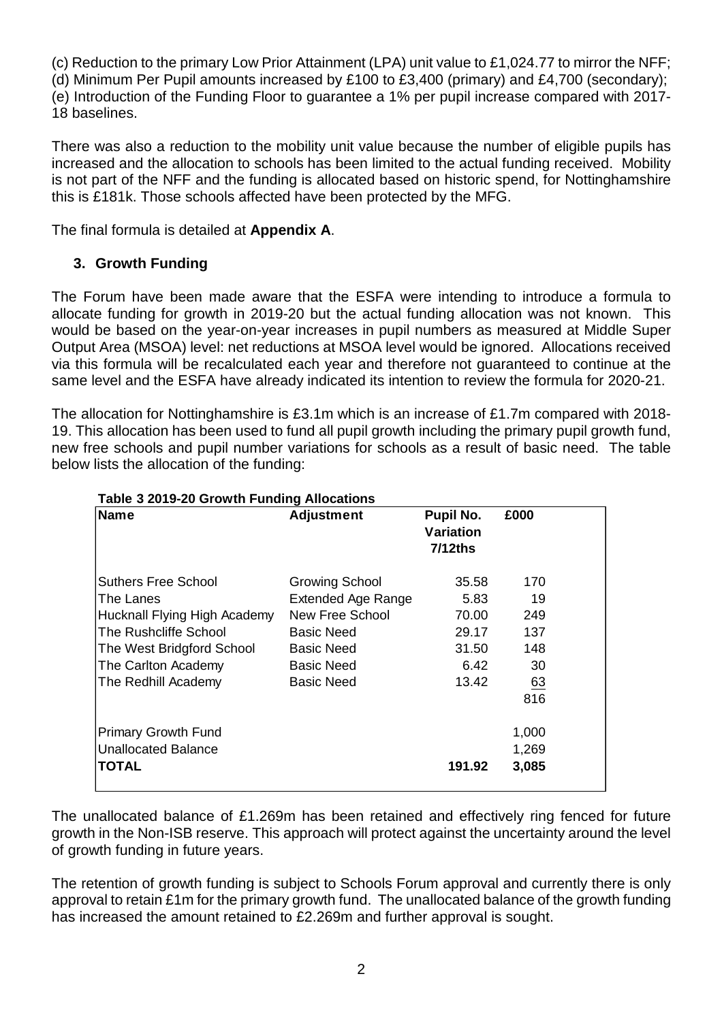(c) Reduction to the primary Low Prior Attainment (LPA) unit value to £1,024.77 to mirror the NFF;

(d) Minimum Per Pupil amounts increased by £100 to £3,400 (primary) and £4,700 (secondary); (e) Introduction of the Funding Floor to guarantee a 1% per pupil increase compared with 2017- 18 baselines.

There was also a reduction to the mobility unit value because the number of eligible pupils has increased and the allocation to schools has been limited to the actual funding received. Mobility is not part of the NFF and the funding is allocated based on historic spend, for Nottinghamshire this is £181k. Those schools affected have been protected by the MFG.

The final formula is detailed at **Appendix A**.

## **3. Growth Funding**

The Forum have been made aware that the ESFA were intending to introduce a formula to allocate funding for growth in 2019-20 but the actual funding allocation was not known. This would be based on the year-on-year increases in pupil numbers as measured at Middle Super Output Area (MSOA) level: net reductions at MSOA level would be ignored. Allocations received via this formula will be recalculated each year and therefore not guaranteed to continue at the same level and the ESFA have already indicated its intention to review the formula for 2020-21.

The allocation for Nottinghamshire is £3.1m which is an increase of £1.7m compared with 2018- 19. This allocation has been used to fund all pupil growth including the primary pupil growth fund, new free schools and pupil number variations for schools as a result of basic need. The table below lists the allocation of the funding:

| <b>Name</b>                  | <b>Adjustment</b>         | Pupil No.<br>Variation<br>7/12ths | £000  |  |
|------------------------------|---------------------------|-----------------------------------|-------|--|
| Suthers Free School          | <b>Growing School</b>     | 35.58                             | 170   |  |
| lThe Lanes                   | <b>Extended Age Range</b> | 5.83                              | 19    |  |
| Hucknall Flying High Academy | New Free School           | 70.00                             | 249   |  |
| The Rushcliffe School        | Basic Need                | 29.17                             | 137   |  |
| The West Bridgford School    | <b>Basic Need</b>         | 31.50                             | 148   |  |
| The Carlton Academy          | <b>Basic Need</b>         | 6.42                              | 30    |  |
| The Redhill Academy          | <b>Basic Need</b>         | 13.42                             | 63    |  |
|                              |                           |                                   | 816   |  |
| <b>Primary Growth Fund</b>   |                           |                                   | 1,000 |  |
| Unallocated Balance          |                           |                                   | 1,269 |  |
| <b>TOTAL</b>                 |                           | 191.92                            | 3,085 |  |

#### **Table 3 2019-20 Growth Funding Allocations**

The unallocated balance of £1.269m has been retained and effectively ring fenced for future growth in the Non-ISB reserve. This approach will protect against the uncertainty around the level of growth funding in future years.

The retention of growth funding is subject to Schools Forum approval and currently there is only approval to retain £1m for the primary growth fund. The unallocated balance of the growth funding has increased the amount retained to £2.269m and further approval is sought.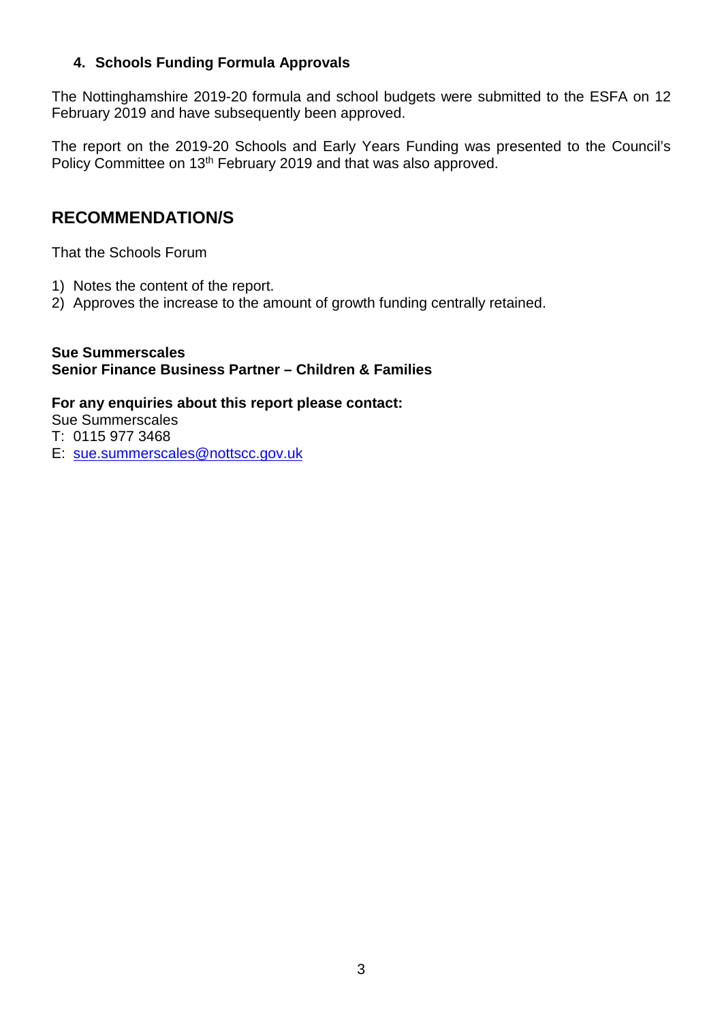#### **4. Schools Funding Formula Approvals**

The Nottinghamshire 2019-20 formula and school budgets were submitted to the ESFA on 12 February 2019 and have subsequently been approved.

The report on the 2019-20 Schools and Early Years Funding was presented to the Council's Policy Committee on 13<sup>th</sup> February 2019 and that was also approved.

## **RECOMMENDATION/S**

That the Schools Forum

- 1) Notes the content of the report.
- 2) Approves the increase to the amount of growth funding centrally retained.

#### **Sue Summerscales Senior Finance Business Partner – Children & Families**

#### **For any enquiries about this report please contact:**

Sue Summerscales

- T: 0115 977 3468
- E: sue.summerscales@nottscc.gov.uk